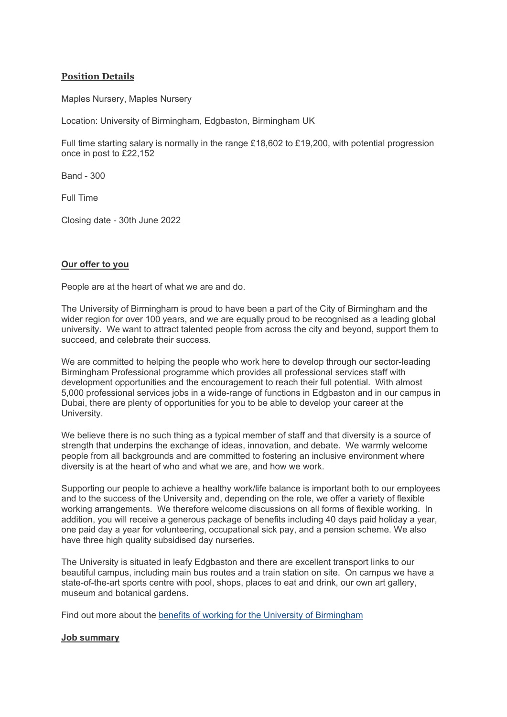# **Position Details**

Maples Nursery, Maples Nursery

Location: University of Birmingham, Edgbaston, Birmingham UK

Full time starting salary is normally in the range £18,602 to £19,200, with potential progression once in post to £22,152

Band - 300

Full Time

Closing date - 30th June 2022

### **Our offer to you**

People are at the heart of what we are and do.

The University of Birmingham is proud to have been a part of the City of Birmingham and the wider region for over 100 years, and we are equally proud to be recognised as a leading global university. We want to attract talented people from across the city and beyond, support them to succeed, and celebrate their success.

We are committed to helping the people who work here to develop through our sector-leading Birmingham Professional programme which provides all professional services staff with development opportunities and the encouragement to reach their full potential. With almost 5,000 professional services jobs in a wide-range of functions in Edgbaston and in our campus in Dubai, there are plenty of opportunities for you to be able to develop your career at the University.

We believe there is no such thing as a typical member of staff and that diversity is a source of strength that underpins the exchange of ideas, innovation, and debate. We warmly welcome people from all backgrounds and are committed to fostering an inclusive environment where diversity is at the heart of who and what we are, and how we work.

Supporting our people to achieve a healthy work/life balance is important both to our employees and to the success of the University and, depending on the role, we offer a variety of flexible working arrangements. We therefore welcome discussions on all forms of flexible working. In addition, you will receive a generous package of benefits including 40 days paid holiday a year, one paid day a year for volunteering, occupational sick pay, and a pension scheme. We also have three high quality subsidised day nurseries.

The University is situated in leafy Edgbaston and there are excellent transport links to our beautiful campus, including main bus routes and a train station on site. On campus we have a state-of-the-art sports centre with pool, shops, places to eat and drink, our own art gallery, museum and botanical gardens.

Find out more about the [benefits of working for the University of Birmingham](https://intranet.birmingham.ac.uk/hr/pay-and-reward/benefits/index.aspx)

#### **Job summary**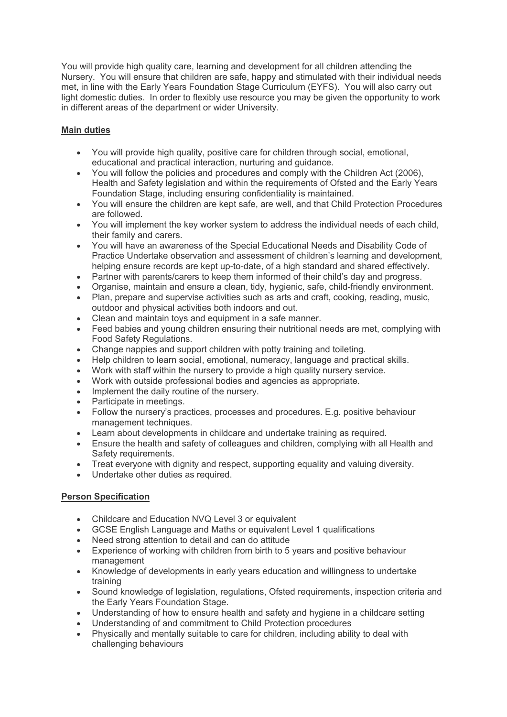You will provide high quality care, learning and development for all children attending the Nursery. You will ensure that children are safe, happy and stimulated with their individual needs met, in line with the Early Years Foundation Stage Curriculum (EYFS). You will also carry out light domestic duties. In order to flexibly use resource you may be given the opportunity to work in different areas of the department or wider University.

# **Main duties**

- You will provide high quality, positive care for children through social, emotional, educational and practical interaction, nurturing and guidance.
- You will follow the policies and procedures and comply with the Children Act (2006), Health and Safety legislation and within the requirements of Ofsted and the Early Years Foundation Stage, including ensuring confidentiality is maintained.
- You will ensure the children are kept safe, are well, and that Child Protection Procedures are followed.
- You will implement the key worker system to address the individual needs of each child, their family and carers.
- You will have an awareness of the Special Educational Needs and Disability Code of Practice Undertake observation and assessment of children's learning and development, helping ensure records are kept up-to-date, of a high standard and shared effectively.
- Partner with parents/carers to keep them informed of their child's day and progress.
- Organise, maintain and ensure a clean, tidy, hygienic, safe, child-friendly environment.
- Plan, prepare and supervise activities such as arts and craft, cooking, reading, music, outdoor and physical activities both indoors and out.
- Clean and maintain toys and equipment in a safe manner.
- Feed babies and young children ensuring their nutritional needs are met, complying with Food Safety Regulations.
- Change nappies and support children with potty training and toileting.
- Help children to learn social, emotional, numeracy, language and practical skills.
- Work with staff within the nursery to provide a high quality nursery service.
- Work with outside professional bodies and agencies as appropriate.
- Implement the daily routine of the nursery.
- Participate in meetings.
- Follow the nursery's practices, processes and procedures. E.g. positive behaviour management techniques.
- Learn about developments in childcare and undertake training as required.<br>• Fnsure the health and safety of colleagues and children, complying with all
- Ensure the health and safety of colleagues and children, complying with all Health and Safety requirements.
- Treat everyone with dignity and respect, supporting equality and valuing diversity.
- Undertake other duties as required.

# **Person Specification**

- Childcare and Education NVQ Level 3 or equivalent
- GCSE English Language and Maths or equivalent Level 1 qualifications
- Need strong attention to detail and can do attitude
- Experience of working with children from birth to 5 years and positive behaviour management
- Knowledge of developments in early years education and willingness to undertake training
- Sound knowledge of legislation, regulations, Ofsted requirements, inspection criteria and the Early Years Foundation Stage.
- Understanding of how to ensure health and safety and hygiene in a childcare setting
- Understanding of and commitment to Child Protection procedures
- Physically and mentally suitable to care for children, including ability to deal with challenging behaviours